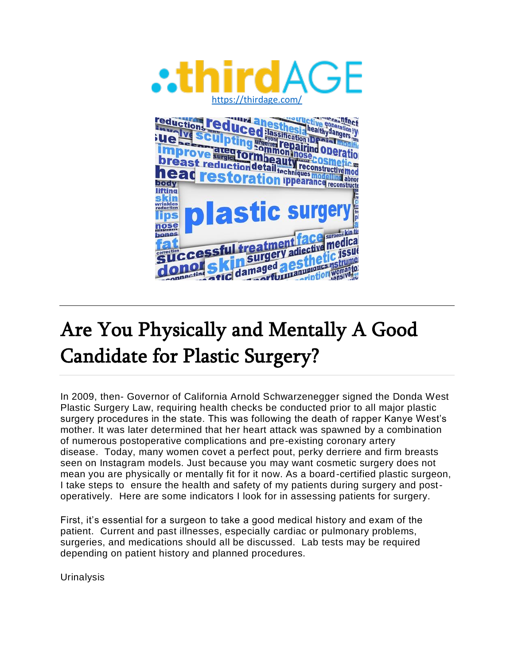

# Are You Physically and Mentally A Good Candidate for Plastic Surgery?

In 2009, then- Governor of California Arnold Schwarzenegger signed the Donda West Plastic Surgery Law, requiring health checks be conducted prior to all major plastic surgery procedures in the state. This was following the death of rapper Kanye West's mother. It was later determined that her heart attack was spawned by a combination of numerous postoperative complications and pre-existing coronary artery disease. Today, many women covet a perfect pout, perky derriere and firm breasts seen on Instagram models. Just because you may want cosmetic surgery does not mean you are physically or mentally fit for it now. As a board-certified plastic surgeon, I take steps to ensure the health and safety of my patients during surgery and postoperatively. Here are some indicators I look for in assessing patients for surgery.

First, it's essential for a surgeon to take a good medical history and exam of the patient. Current and past illnesses, especially cardiac or pulmonary problems, surgeries, and medications should all be discussed. Lab tests may be required depending on patient history and planned procedures.

**Urinalysis**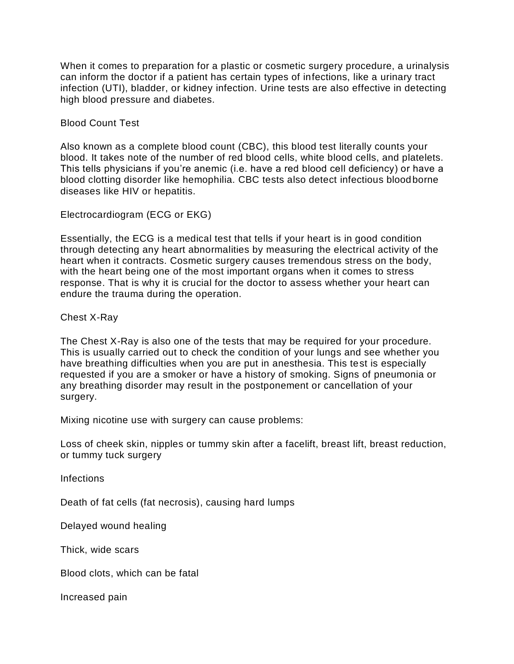When it comes to preparation for a plastic or cosmetic surgery procedure, a urinalysis can inform the doctor if a patient has certain types of infections, like a urinary tract infection (UTI), bladder, or kidney infection. Urine tests are also effective in detecting high blood pressure and diabetes.

Blood Count Test

Also known as a complete blood count (CBC), this blood test literally counts your blood. It takes note of the number of red blood cells, white blood cells, and platelets. This tells physicians if you're anemic (i.e. have a red blood cell deficiency) or have a blood clotting disorder like hemophilia. CBC tests also detect infectious bloodborne diseases like HIV or hepatitis.

Electrocardiogram (ECG or EKG)

Essentially, the ECG is a medical test that tells if your heart is in good condition through detecting any heart abnormalities by measuring the electrical activity of the heart when it contracts. Cosmetic surgery causes tremendous stress on the body, with the heart being one of the most important organs when it comes to stress response. That is why it is crucial for the doctor to assess whether your heart can endure the trauma during the operation.

Chest X-Ray

The Chest X-Ray is also one of the tests that may be required for your procedure. This is usually carried out to check the condition of your lungs and see whether you have breathing difficulties when you are put in anesthesia. This test is especially requested if you are a smoker or have a history of smoking. Signs of pneumonia or any breathing disorder may result in the postponement or cancellation of your surgery.

Mixing nicotine use with surgery can cause problems:

Loss of cheek skin, nipples or tummy skin after a facelift, breast lift, breast reduction, or tummy tuck surgery

Infections

Death of fat cells (fat necrosis), causing hard lumps

Delayed wound healing

Thick, wide scars

Blood clots, which can be fatal

Increased pain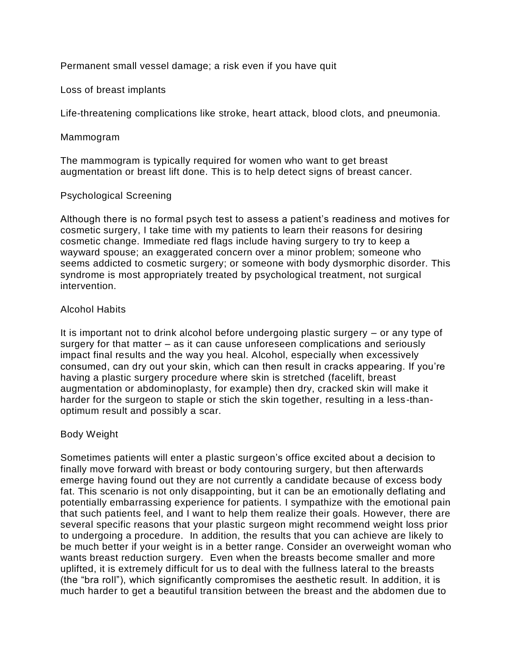Permanent small vessel damage; a risk even if you have quit

Loss of breast implants

Life-threatening complications like stroke, heart attack, blood clots, and pneumonia.

Mammogram

The mammogram is typically required for women who want to get breast augmentation or breast lift done. This is to help detect signs of breast cancer.

#### Psychological Screening

Although there is no formal psych test to assess a patient's readiness and motives for cosmetic surgery, I take time with my patients to learn their reasons for desiring cosmetic change. Immediate red flags include having surgery to try to keep a wayward spouse; an exaggerated concern over a minor problem; someone who seems addicted to cosmetic surgery; or someone with body dysmorphic disorder. This syndrome is most appropriately treated by psychological treatment, not surgical intervention.

## Alcohol Habits

It is important not to drink alcohol before undergoing plastic surgery – or any type of surgery for that matter – as it can cause unforeseen complications and seriously impact final results and the way you heal. Alcohol, especially when excessively consumed, can dry out your skin, which can then result in cracks appearing. If you're having a plastic surgery procedure where skin is stretched (facelift, breast augmentation or abdominoplasty, for example) then dry, cracked skin will make it harder for the surgeon to staple or stich the skin together, resulting in a less-thanoptimum result and possibly a scar.

## Body Weight

Sometimes patients will enter a plastic surgeon's office excited about a decision to finally move forward with breast or body contouring surgery, but then afterwards emerge having found out they are not currently a candidate because of excess body fat. This scenario is not only disappointing, but it can be an emotionally deflating and potentially embarrassing experience for patients. I sympathize with the emotional pain that such patients feel, and I want to help them realize their goals. However, there are several specific reasons that your plastic surgeon might recommend weight loss prior to undergoing a procedure. In addition, the results that you can achieve are likely to be much better if your weight is in a better range. Consider an overweight woman who wants breast reduction surgery. Even when the breasts become smaller and more uplifted, it is extremely difficult for us to deal with the fullness lateral to the breasts (the "bra roll"), which significantly compromises the aesthetic result. In addition, it is much harder to get a beautiful transition between the breast and the abdomen due to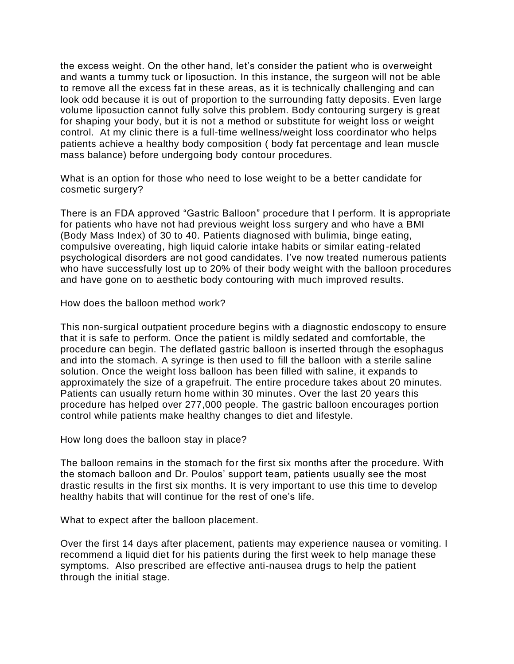the excess weight. On the other hand, let's consider the patient who is overweight and wants a tummy tuck or liposuction. In this instance, the surgeon will not be able to remove all the excess fat in these areas, as it is technically challenging and can look odd because it is out of proportion to the surrounding fatty deposits. Even large volume liposuction cannot fully solve this problem. Body contouring surgery is great for shaping your body, but it is not a method or substitute for weight loss or weight control. At my clinic there is a full-time wellness/weight loss coordinator who helps patients achieve a healthy body composition ( body fat percentage and lean muscle mass balance) before undergoing body contour procedures.

What is an option for those who need to lose weight to be a better candidate for cosmetic surgery?

There is an FDA approved "Gastric Balloon" procedure that I perform. It is appropriate for patients who have not had previous weight loss surgery and who have a BMI (Body Mass Index) of 30 to 40. Patients diagnosed with bulimia, binge eating, compulsive overeating, high liquid calorie intake habits or similar eating-related psychological disorders are not good candidates. I've now treated numerous patients who have successfully lost up to 20% of their body weight with the balloon procedures and have gone on to aesthetic body contouring with much improved results.

How does the balloon method work?

This non-surgical outpatient procedure begins with a diagnostic endoscopy to ensure that it is safe to perform. Once the patient is mildly sedated and comfortable, the procedure can begin. The deflated gastric balloon is inserted through the esophagus and into the stomach. A syringe is then used to fill the balloon with a sterile saline solution. Once the weight loss balloon has been filled with saline, it expands to approximately the size of a grapefruit. The entire procedure takes about 20 minutes. Patients can usually return home within 30 minutes. Over the last 20 years this procedure has helped over 277,000 people. The gastric balloon encourages portion control while patients make healthy changes to diet and lifestyle.

How long does the balloon stay in place?

The balloon remains in the stomach for the first six months after the procedure. With the stomach balloon and Dr. Poulos' support team, patients usually see the most drastic results in the first six months. It is very important to use this time to develop healthy habits that will continue for the rest of one's life.

What to expect after the balloon placement.

Over the first 14 days after placement, patients may experience nausea or vomiting. I recommend a liquid diet for his patients during the first week to help manage these symptoms. Also prescribed are effective anti-nausea drugs to help the patient through the initial stage.